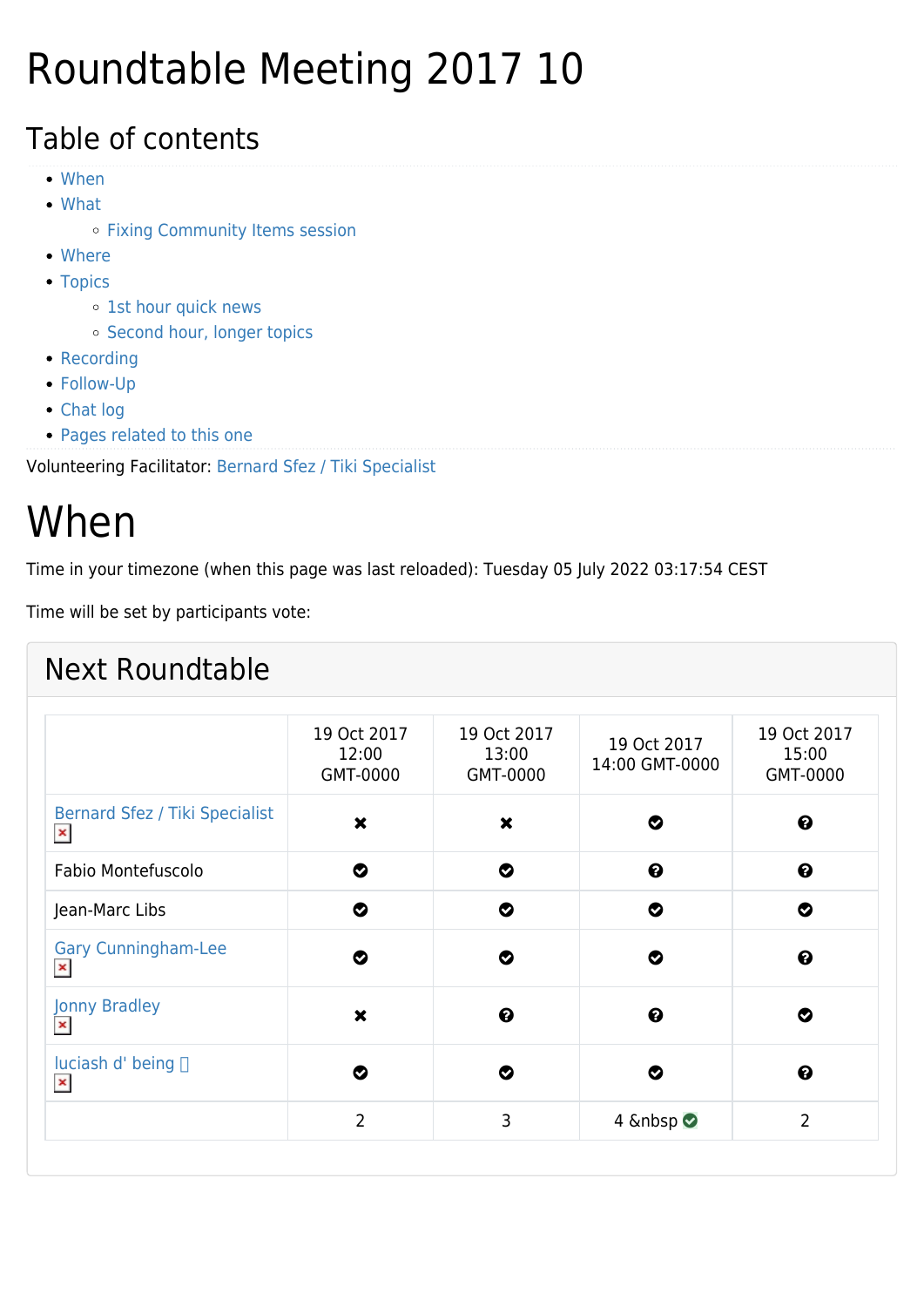## Roundtable Meeting 2017 10

#### Table of contents

- [When](#page--1-0)
- [What](#page--1-0)
	- [Fixing Community Items session](#page--1-0)
- [Where](#page--1-0)
- [Topics](#page--1-0)
	- o [1st hour quick news](#page--1-0)
	- o [Second hour, longer topics](#page--1-0)
- [Recording](#page--1-0)
- [Follow-Up](#page--1-0)
- [Chat log](#page--1-0)
- [Pages related to this one](#page--1-0)

Volunteering Facilitator: [Bernard Sfez / Tiki Specialist](https://tiki.org/user1974)

## When

Time in your timezone (when this page was last reloaded): Tuesday 05 July 2022 03:17:54 CEST

Time will be set by participants vote:

|                                                         | 19 Oct 2017<br>12:00<br>GMT-0000 | 19 Oct 2017<br>13:00<br>GMT-0000 | 19 Oct 2017<br>14:00 GMT-0000 | 19 Oct 2017<br>15:00<br>GMT-0000 |
|---------------------------------------------------------|----------------------------------|----------------------------------|-------------------------------|----------------------------------|
| <b>Bernard Sfez / Tiki Specialist</b><br>$\pmb{\times}$ | $\boldsymbol{\mathsf{x}}$        | $\boldsymbol{\mathsf{x}}$        | Ø                             | $\boldsymbol{\Theta}$            |
| Fabio Montefuscolo                                      | ◎                                | ◔                                | $\boldsymbol{\Theta}$         | $\boldsymbol{\Theta}$            |
| Jean-Marc Libs                                          | ◎                                | ◔                                | ◎                             | ◎                                |
| <b>Gary Cunningham-Lee</b><br>$\pmb{\times}$            | Ø                                | ల                                | ల                             | $\boldsymbol{\Theta}$            |
| <b>Jonny Bradley</b><br>$\pmb{\times}$                  | $\boldsymbol{\mathsf{x}}$        | $\boldsymbol{\Theta}$            | $\boldsymbol{\Theta}$         | ◎                                |
| luciash d' being □<br>$\pmb{\times}$                    | Ø                                | Ø                                | Ø                             | 0                                |
|                                                         | $\overline{2}$                   | 3                                | 4 <b>⊘</b>                    | $\overline{2}$                   |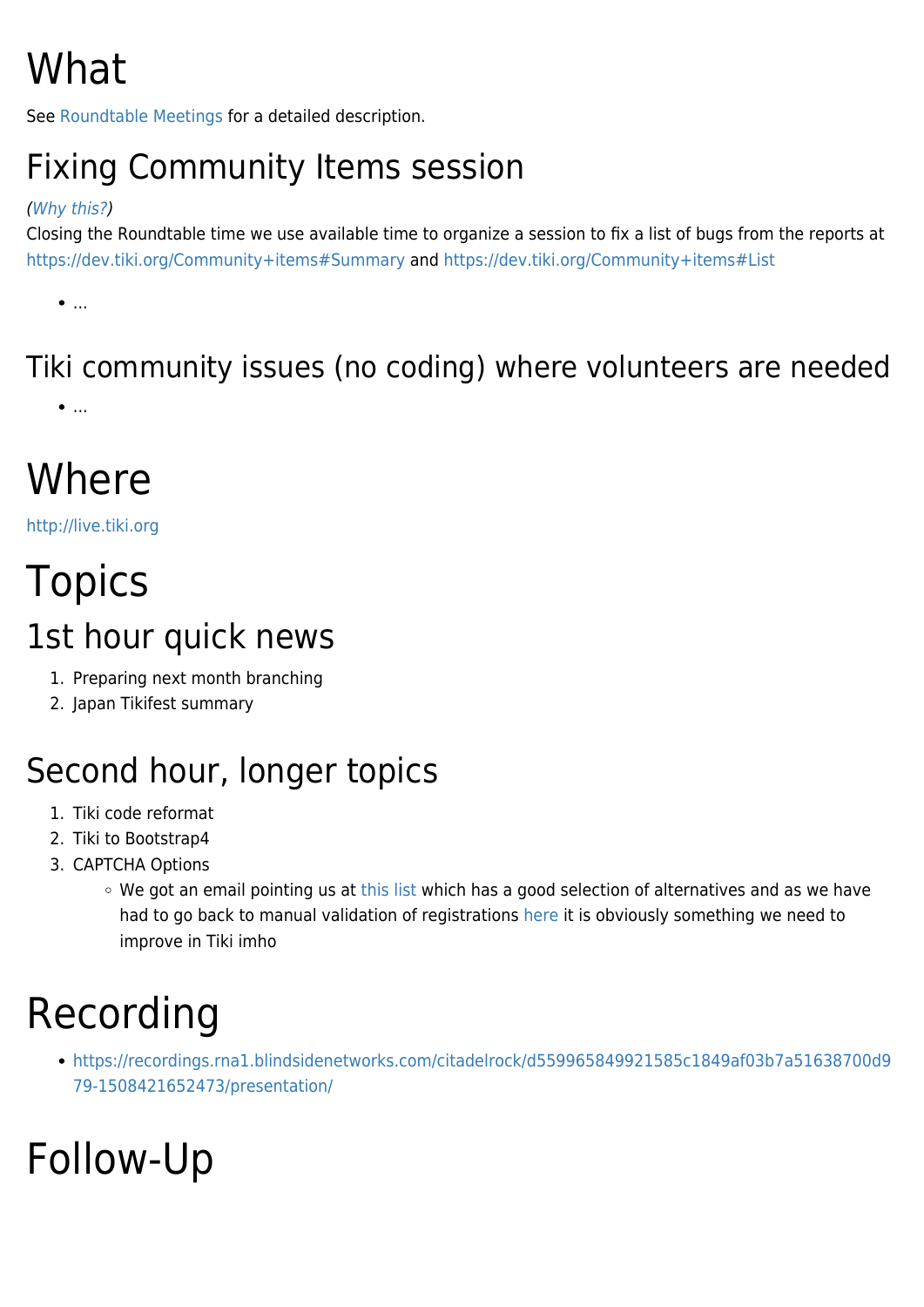# What

See [Roundtable Meetings](https://tiki.org/Roundtable-Meetings) for a detailed description.

#### Fixing Community Items session

#### ([Why this?](https://tiki.org/170109+TAG+Meeting#Getting_some_urgent_fixes_for_the_Community_sites))

Closing the Roundtable time we use available time to organize a session to fix a list of bugs from the reports at <https://dev.tiki.org/Community+items#Summary> and<https://dev.tiki.org/Community+items#List>

 $\bullet$ ....

#### Tiki community issues (no coding) where volunteers are needed

 $\bullet$ ...

## Where

<http://live.tiki.org>

#### **Topics** 1st hour quick news

- 1. Preparing next month branching
- 2. Japan Tikifest summary

#### Second hour, longer topics

- 1. Tiki code reformat
- 2. Tiki to Bootstrap4
- 3. CAPTCHA Options
	- We got an email pointing us at [this list](https://www.whoishostingthis.com/resources/captcha/) which has a good selection of alternatives and as we have had to go back to manual validation of registrations [here](https://tiki.org/) it is obviously something we need to improve in Tiki imho

#### Recording

[https://recordings.rna1.blindsidenetworks.com/citadelrock/d559965849921585c1849af03b7a51638700d9](https://recordings.rna1.blindsidenetworks.com/citadelrock/d559965849921585c1849af03b7a51638700d979-1508421652473/presentation/) [79-1508421652473/presentation/](https://recordings.rna1.blindsidenetworks.com/citadelrock/d559965849921585c1849af03b7a51638700d979-1508421652473/presentation/)

# Follow-Up